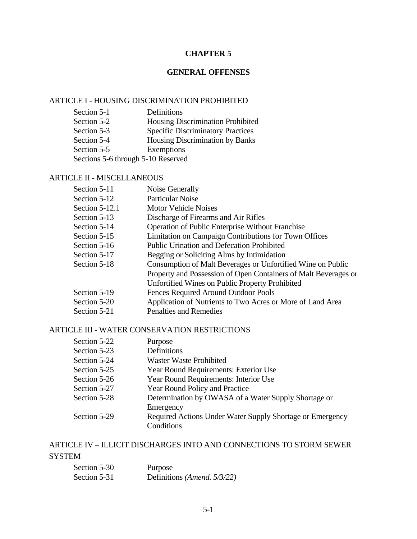### **CHAPTER 5**

### **GENERAL OFFENSES**

#### ARTICLE I - HOUSING DISCRIMINATION PROHIBITED

| Section 5-1                        | Definitions                              |
|------------------------------------|------------------------------------------|
| Section 5-2                        | <b>Housing Discrimination Prohibited</b> |
| Section 5-3                        | <b>Specific Discriminatory Practices</b> |
| Section 5-4                        | Housing Discrimination by Banks          |
| Section 5-5                        | Exemptions                               |
| Sections 5-6 through 5-10 Reserved |                                          |

### ARTICLE II - MISCELLANEOUS

| Section 5-11     | Noise Generally                                                 |
|------------------|-----------------------------------------------------------------|
| Section 5-12     | <b>Particular Noise</b>                                         |
| Section $5-12.1$ | <b>Motor Vehicle Noises</b>                                     |
| Section 5-13     | Discharge of Firearms and Air Rifles                            |
| Section 5-14     | <b>Operation of Public Enterprise Without Franchise</b>         |
| Section 5-15     | Limitation on Campaign Contributions for Town Offices           |
| Section 5-16     | <b>Public Urination and Defecation Prohibited</b>               |
| Section 5-17     | Begging or Soliciting Alms by Intimidation                      |
| Section 5-18     | Consumption of Malt Beverages or Unfortified Wine on Public     |
|                  | Property and Possession of Open Containers of Malt Beverages or |
|                  | Unfortified Wines on Public Property Prohibited                 |
| Section 5-19     | Fences Required Around Outdoor Pools                            |
| Section 5-20     | Application of Nutrients to Two Acres or More of Land Area      |
| Section 5-21     | <b>Penalties and Remedies</b>                                   |
|                  |                                                                 |

#### ARTICLE III - WATER CONSERVATION RESTRICTIONS

| Section 5-22 | Purpose                                                   |
|--------------|-----------------------------------------------------------|
| Section 5-23 | Definitions                                               |
| Section 5-24 | <b>Waster Waste Prohibited</b>                            |
| Section 5-25 | Year Round Requirements: Exterior Use                     |
| Section 5-26 | Year Round Requirements: Interior Use                     |
| Section 5-27 | Year Round Policy and Practice                            |
| Section 5-28 | Determination by OWASA of a Water Supply Shortage or      |
|              | Emergency                                                 |
| Section 5-29 | Required Actions Under Water Supply Shortage or Emergency |
|              | Conditions                                                |

# ARTICLE IV – ILLICIT DISCHARGES INTO AND CONNECTIONS TO STORM SEWER SYSTEM

| Section 5-30 | Purpose                             |
|--------------|-------------------------------------|
| Section 5-31 | Definitions ( <i>Amend.</i> 5/3/22) |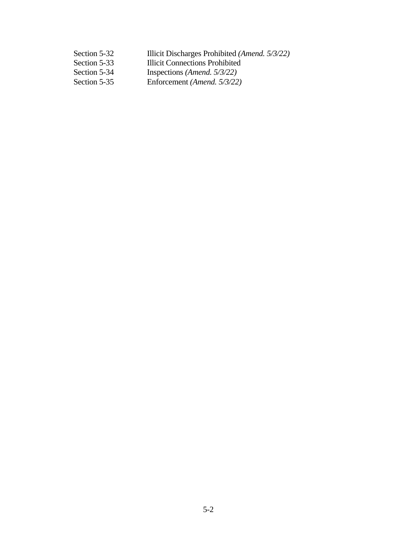| Section 5-32 | Illicit Discharges Prohibited (Amend. 5/3/22) |
|--------------|-----------------------------------------------|
| Section 5-33 | <b>Illicit Connections Prohibited</b>         |
| Section 5-34 | Inspections ( <i>Amend.</i> $5/3/22$ )        |
| Section 5-35 | Enforcement (Amend. 5/3/22)                   |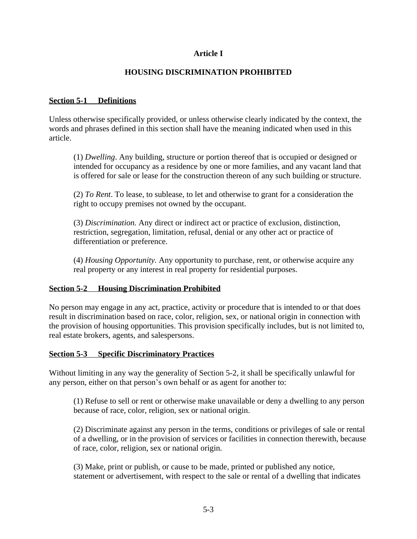# **Article I**

# **HOUSING DISCRIMINATION PROHIBITED**

## **Section 5-1 Definitions**

Unless otherwise specifically provided, or unless otherwise clearly indicated by the context, the words and phrases defined in this section shall have the meaning indicated when used in this article.

(1) *Dwelling*. Any building, structure or portion thereof that is occupied or designed or intended for occupancy as a residence by one or more families, and any vacant land that is offered for sale or lease for the construction thereon of any such building or structure.

(2) *To Rent*. To lease, to sublease, to let and otherwise to grant for a consideration the right to occupy premises not owned by the occupant.

(3) *Discrimination.* Any direct or indirect act or practice of exclusion, distinction, restriction, segregation, limitation, refusal, denial or any other act or practice of differentiation or preference.

(4) *Housing Opportunity.* Any opportunity to purchase, rent, or otherwise acquire any real property or any interest in real property for residential purposes.

## **Section 5-2 Housing Discrimination Prohibited**

No person may engage in any act, practice, activity or procedure that is intended to or that does result in discrimination based on race, color, religion, sex, or national origin in connection with the provision of housing opportunities. This provision specifically includes, but is not limited to, real estate brokers, agents, and salespersons.

#### **Section 5-3 Specific Discriminatory Practices**

Without limiting in any way the generality of Section 5-2, it shall be specifically unlawful for any person, either on that person's own behalf or as agent for another to:

(1) Refuse to sell or rent or otherwise make unavailable or deny a dwelling to any person because of race, color, religion, sex or national origin.

(2) Discriminate against any person in the terms, conditions or privileges of sale or rental of a dwelling, or in the provision of services or facilities in connection therewith, because of race, color, religion, sex or national origin.

(3) Make, print or publish, or cause to be made, printed or published any notice, statement or advertisement, with respect to the sale or rental of a dwelling that indicates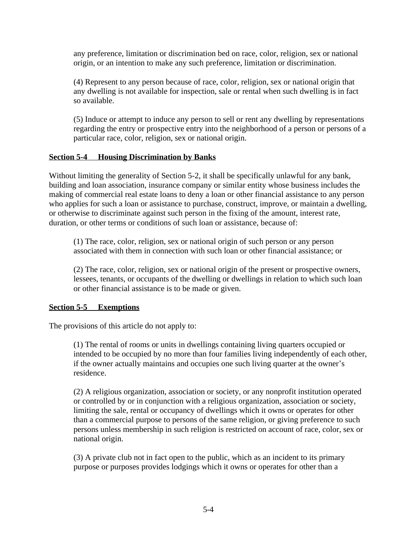any preference, limitation or discrimination bed on race, color, religion, sex or national origin, or an intention to make any such preference, limitation or discrimination.

(4) Represent to any person because of race, color, religion, sex or national origin that any dwelling is not available for inspection, sale or rental when such dwelling is in fact so available.

(5) Induce or attempt to induce any person to sell or rent any dwelling by representations regarding the entry or prospective entry into the neighborhood of a person or persons of a particular race, color, religion, sex or national origin.

## **Section 5-4 Housing Discrimination by Banks**

Without limiting the generality of Section 5-2, it shall be specifically unlawful for any bank, building and loan association, insurance company or similar entity whose business includes the making of commercial real estate loans to deny a loan or other financial assistance to any person who applies for such a loan or assistance to purchase, construct, improve, or maintain a dwelling, or otherwise to discriminate against such person in the fixing of the amount, interest rate, duration, or other terms or conditions of such loan or assistance, because of:

(1) The race, color, religion, sex or national origin of such person or any person associated with them in connection with such loan or other financial assistance; or

(2) The race, color, religion, sex or national origin of the present or prospective owners, lessees, tenants, or occupants of the dwelling or dwellings in relation to which such loan or other financial assistance is to be made or given.

## **Section 5-5 Exemptions**

The provisions of this article do not apply to:

(1) The rental of rooms or units in dwellings containing living quarters occupied or intended to be occupied by no more than four families living independently of each other, if the owner actually maintains and occupies one such living quarter at the owner's residence.

(2) A religious organization, association or society, or any nonprofit institution operated or controlled by or in conjunction with a religious organization, association or society, limiting the sale, rental or occupancy of dwellings which it owns or operates for other than a commercial purpose to persons of the same religion, or giving preference to such persons unless membership in such religion is restricted on account of race, color, sex or national origin.

(3) A private club not in fact open to the public, which as an incident to its primary purpose or purposes provides lodgings which it owns or operates for other than a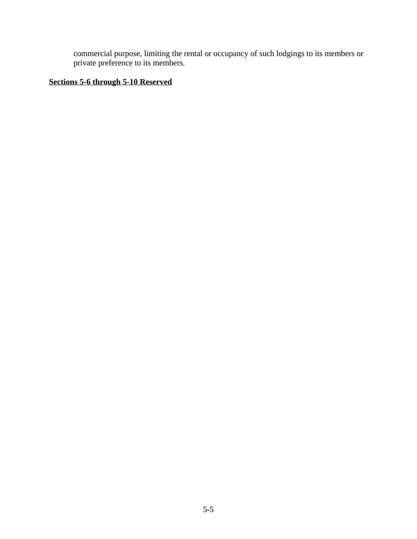commercial purpose, limiting the rental or occupancy of such lodgings to its members or private preference to its members.

# **Sections 5-6 through 5-10 Reserved**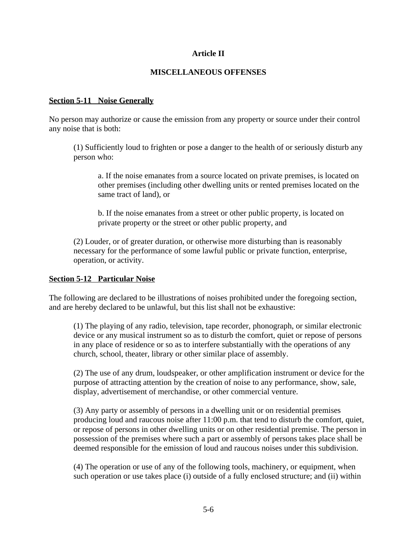### **Article II**

#### **MISCELLANEOUS OFFENSES**

#### **Section 5-11 Noise Generally**

No person may authorize or cause the emission from any property or source under their control any noise that is both:

(1) Sufficiently loud to frighten or pose a danger to the health of or seriously disturb any person who:

a. If the noise emanates from a source located on private premises, is located on other premises (including other dwelling units or rented premises located on the same tract of land), or

b. If the noise emanates from a street or other public property, is located on private property or the street or other public property, and

(2) Louder, or of greater duration, or otherwise more disturbing than is reasonably necessary for the performance of some lawful public or private function, enterprise, operation, or activity.

#### **Section 5-12 Particular Noise**

The following are declared to be illustrations of noises prohibited under the foregoing section, and are hereby declared to be unlawful, but this list shall not be exhaustive:

(1) The playing of any radio, television, tape recorder, phonograph, or similar electronic device or any musical instrument so as to disturb the comfort, quiet or repose of persons in any place of residence or so as to interfere substantially with the operations of any church, school, theater, library or other similar place of assembly.

(2) The use of any drum, loudspeaker, or other amplification instrument or device for the purpose of attracting attention by the creation of noise to any performance, show, sale, display, advertisement of merchandise, or other commercial venture.

(3) Any party or assembly of persons in a dwelling unit or on residential premises producing loud and raucous noise after 11:00 p.m. that tend to disturb the comfort, quiet, or repose of persons in other dwelling units or on other residential premise. The person in possession of the premises where such a part or assembly of persons takes place shall be deemed responsible for the emission of loud and raucous noises under this subdivision.

(4) The operation or use of any of the following tools, machinery, or equipment, when such operation or use takes place (i) outside of a fully enclosed structure; and (ii) within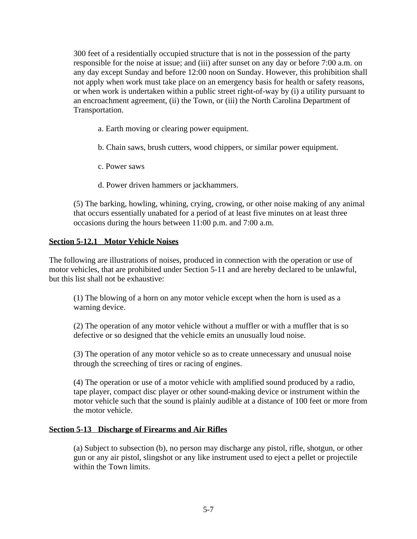300 feet of a residentially occupied structure that is not in the possession of the party responsible for the noise at issue; and (iii) after sunset on any day or before 7:00 a.m. on any day except Sunday and before 12:00 noon on Sunday. However, this prohibition shall not apply when work must take place on an emergency basis for health or safety reasons, or when work is undertaken within a public street right-of-way by (i) a utility pursuant to an encroachment agreement, (ii) the Town, or (iii) the North Carolina Department of Transportation.

a. Earth moving or clearing power equipment.

b. Chain saws, brush cutters, wood chippers, or similar power equipment.

- c. Power saws
- d. Power driven hammers or jackhammers.

(5) The barking, howling, whining, crying, crowing, or other noise making of any animal that occurs essentially unabated for a period of at least five minutes on at least three occasions during the hours between 11:00 p.m. and 7:00 a.m.

### **Section 5-12.1 Motor Vehicle Noises**

The following are illustrations of noises, produced in connection with the operation or use of motor vehicles, that are prohibited under Section 5-11 and are hereby declared to be unlawful, but this list shall not be exhaustive:

(1) The blowing of a horn on any motor vehicle except when the horn is used as a warning device.

(2) The operation of any motor vehicle without a muffler or with a muffler that is so defective or so designed that the vehicle emits an unusually loud noise.

(3) The operation of any motor vehicle so as to create unnecessary and unusual noise through the screeching of tires or racing of engines.

(4) The operation or use of a motor vehicle with amplified sound produced by a radio, tape player, compact disc player or other sound-making device or instrument within the motor vehicle such that the sound is plainly audible at a distance of 100 feet or more from the motor vehicle.

#### **Section 5-13 Discharge of Firearms and Air Rifles**

(a) Subject to subsection (b), no person may discharge any pistol, rifle, shotgun, or other gun or any air pistol, slingshot or any like instrument used to eject a pellet or projectile within the Town limits.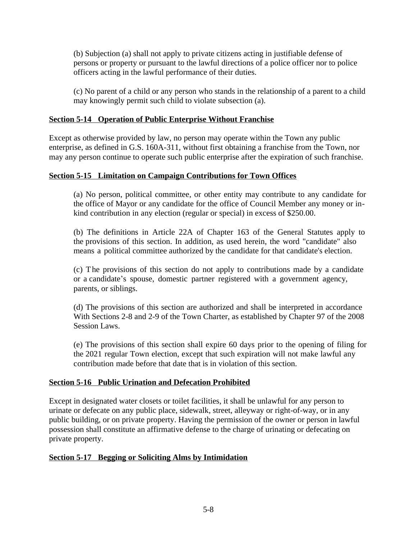(b) Subjection (a) shall not apply to private citizens acting in justifiable defense of persons or property or pursuant to the lawful directions of a police officer nor to police officers acting in the lawful performance of their duties.

(c) No parent of a child or any person who stands in the relationship of a parent to a child may knowingly permit such child to violate subsection (a).

## **Section 5-14 Operation of Public Enterprise Without Franchise**

Except as otherwise provided by law, no person may operate within the Town any public enterprise, as defined in G.S. 160A-311, without first obtaining a franchise from the Town, nor may any person continue to operate such public enterprise after the expiration of such franchise.

# **Section 5-15 Limitation on Campaign Contributions for Town Offices**

(a) No person, political committee, or other entity may contribute to any candidate for the office of Mayor or any candidate for the office of Council Member any money or inkind contribution in any election (regular or special) in excess of \$250.00.

(b) The definitions in Article 22A of Chapter 163 of the General Statutes apply to the provisions of this section. In addition, as used herein, the word "candidate" also means a political committee authorized by the candidate for that candidate's election.

(c) The provisions of this section do not apply to contributions made by a candidate or a candidate's spouse, domestic partner registered with a government agency, parents, or siblings.

(d) The provisions of this section are authorized and shall be interpreted in accordance With Sections 2-8 and 2-9 of the Town Charter, as established by Chapter 97 of the 2008 Session Laws.

(e) The provisions of this section shall expire 60 days prior to the opening of filing for the 2021 regular Town election, except that such expiration will not make lawful any contribution made before that date that is in violation of this section.

## **Section 5-16 Public Urination and Defecation Prohibited**

Except in designated water closets or toilet facilities, it shall be unlawful for any person to urinate or defecate on any public place, sidewalk, street, alleyway or right-of-way, or in any public building, or on private property. Having the permission of the owner or person in lawful possession shall constitute an affirmative defense to the charge of urinating or defecating on private property.

## **Section 5-17 Begging or Soliciting Alms by Intimidation**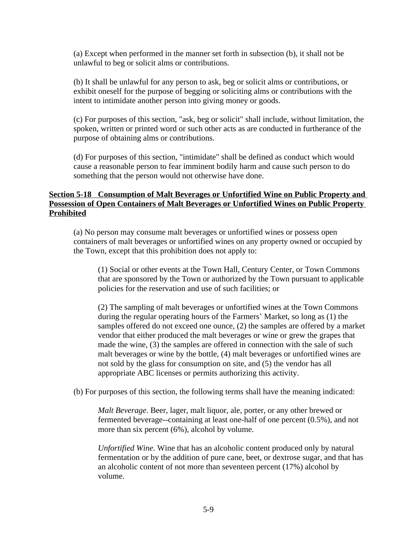(a) Except when performed in the manner set forth in subsection (b), it shall not be unlawful to beg or solicit alms or contributions.

(b) It shall be unlawful for any person to ask, beg or solicit alms or contributions, or exhibit oneself for the purpose of begging or soliciting alms or contributions with the intent to intimidate another person into giving money or goods.

(c) For purposes of this section, "ask, beg or solicit" shall include, without limitation, the spoken, written or printed word or such other acts as are conducted in furtherance of the purpose of obtaining alms or contributions.

(d) For purposes of this section, "intimidate" shall be defined as conduct which would cause a reasonable person to fear imminent bodily harm and cause such person to do something that the person would not otherwise have done.

# **Section 5-18 Consumption of Malt Beverages or Unfortified Wine on Public Property and Possession of Open Containers of Malt Beverages or Unfortified Wines on Public Property Prohibited**

(a) No person may consume malt beverages or unfortified wines or possess open containers of malt beverages or unfortified wines on any property owned or occupied by the Town, except that this prohibition does not apply to:

(1) Social or other events at the Town Hall, Century Center, or Town Commons that are sponsored by the Town or authorized by the Town pursuant to applicable policies for the reservation and use of such facilities; or

(2) The sampling of malt beverages or unfortified wines at the Town Commons during the regular operating hours of the Farmers' Market, so long as (1) the samples offered do not exceed one ounce, (2) the samples are offered by a market vendor that either produced the malt beverages or wine or grew the grapes that made the wine, (3) the samples are offered in connection with the sale of such malt beverages or wine by the bottle, (4) malt beverages or unfortified wines are not sold by the glass for consumption on site, and (5) the vendor has all appropriate ABC licenses or permits authorizing this activity.

(b) For purposes of this section, the following terms shall have the meaning indicated:

*Malt Beverage*. Beer, lager, malt liquor, ale, porter, or any other brewed or fermented beverage--containing at least one-half of one percent (0.5%), and not more than six percent (6%), alcohol by volume.

*Unfortified Wine*. Wine that has an alcoholic content produced only by natural fermentation or by the addition of pure cane, beet, or dextrose sugar, and that has an alcoholic content of not more than seventeen percent (17%) alcohol by volume.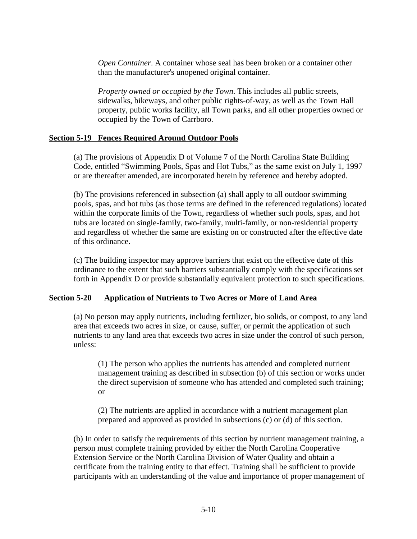*Open Container*. A container whose seal has been broken or a container other than the manufacturer's unopened original container.

*Property owned or occupied by the Town*. This includes all public streets, sidewalks, bikeways, and other public rights-of-way, as well as the Town Hall property, public works facility, all Town parks, and all other properties owned or occupied by the Town of Carrboro.

#### **Section 5-19 Fences Required Around Outdoor Pools**

(a) The provisions of Appendix D of Volume 7 of the North Carolina State Building Code, entitled "Swimming Pools, Spas and Hot Tubs," as the same exist on July 1, 1997 or are thereafter amended, are incorporated herein by reference and hereby adopted.

(b) The provisions referenced in subsection (a) shall apply to all outdoor swimming pools, spas, and hot tubs (as those terms are defined in the referenced regulations) located within the corporate limits of the Town, regardless of whether such pools, spas, and hot tubs are located on single-family, two-family, multi-family, or non-residential property and regardless of whether the same are existing on or constructed after the effective date of this ordinance.

(c) The building inspector may approve barriers that exist on the effective date of this ordinance to the extent that such barriers substantially comply with the specifications set forth in Appendix D or provide substantially equivalent protection to such specifications.

## **Section 5-20 Application of Nutrients to Two Acres or More of Land Area**

(a) No person may apply nutrients, including fertilizer, bio solids, or compost, to any land area that exceeds two acres in size, or cause, suffer, or permit the application of such nutrients to any land area that exceeds two acres in size under the control of such person, unless:

(1) The person who applies the nutrients has attended and completed nutrient management training as described in subsection (b) of this section or works under the direct supervision of someone who has attended and completed such training; or

(2) The nutrients are applied in accordance with a nutrient management plan prepared and approved as provided in subsections (c) or (d) of this section.

(b) In order to satisfy the requirements of this section by nutrient management training, a person must complete training provided by either the North Carolina Cooperative Extension Service or the North Carolina Division of Water Quality and obtain a certificate from the training entity to that effect. Training shall be sufficient to provide participants with an understanding of the value and importance of proper management of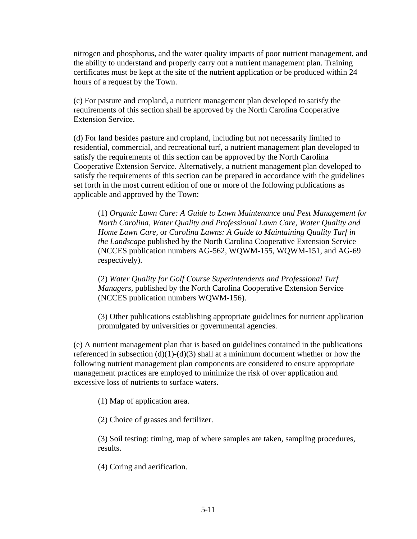nitrogen and phosphorus, and the water quality impacts of poor nutrient management, and the ability to understand and properly carry out a nutrient management plan. Training certificates must be kept at the site of the nutrient application or be produced within 24 hours of a request by the Town.

(c) For pasture and cropland, a nutrient management plan developed to satisfy the requirements of this section shall be approved by the North Carolina Cooperative Extension Service.

(d) For land besides pasture and cropland, including but not necessarily limited to residential, commercial, and recreational turf, a nutrient management plan developed to satisfy the requirements of this section can be approved by the North Carolina Cooperative Extension Service. Alternatively, a nutrient management plan developed to satisfy the requirements of this section can be prepared in accordance with the guidelines set forth in the most current edition of one or more of the following publications as applicable and approved by the Town:

(1) *Organic Lawn Care: A Guide to Lawn Maintenance and Pest Management for North Carolina, Water Quality and Professional Lawn Care, Water Quality and Home Lawn Care,* or *Carolina Lawns: A Guide to Maintaining Quality Turf in the Landscape* published by the North Carolina Cooperative Extension Service (NCCES publication numbers AG-562, WQWM-155, WQWM-151, and AG-69 respectively).

(2) *Water Quality for Golf Course Superintendents and Professional Turf Managers,* published by the North Carolina Cooperative Extension Service (NCCES publication numbers WQWM-156).

(3) Other publications establishing appropriate guidelines for nutrient application promulgated by universities or governmental agencies.

(e) A nutrient management plan that is based on guidelines contained in the publications referenced in subsection  $(d)(1)-(d)(3)$  shall at a minimum document whether or how the following nutrient management plan components are considered to ensure appropriate management practices are employed to minimize the risk of over application and excessive loss of nutrients to surface waters.

(1) Map of application area.

(2) Choice of grasses and fertilizer.

(3) Soil testing: timing, map of where samples are taken, sampling procedures, results.

(4) Coring and aerification.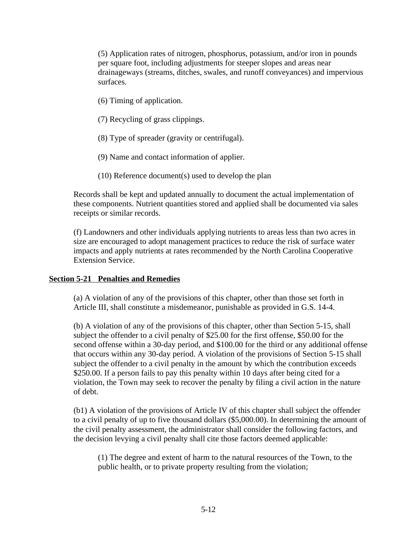(5) Application rates of nitrogen, phosphorus, potassium, and/or iron in pounds per square foot, including adjustments for steeper slopes and areas near drainageways (streams, ditches, swales, and runoff conveyances) and impervious surfaces.

(6) Timing of application.

(7) Recycling of grass clippings.

(8) Type of spreader (gravity or centrifugal).

(9) Name and contact information of applier.

(10) Reference document(s) used to develop the plan

Records shall be kept and updated annually to document the actual implementation of these components. Nutrient quantities stored and applied shall be documented via sales receipts or similar records.

(f) Landowners and other individuals applying nutrients to areas less than two acres in size are encouraged to adopt management practices to reduce the risk of surface water impacts and apply nutrients at rates recommended by the North Carolina Cooperative Extension Service.

#### **Section 5-21 Penalties and Remedies**

(a) A violation of any of the provisions of this chapter, other than those set forth in Article III, shall constitute a misdemeanor, punishable as provided in G.S. 14-4.

(b) A violation of any of the provisions of this chapter, other than Section 5-15, shall subject the offender to a civil penalty of \$25.00 for the first offense, \$50.00 for the second offense within a 30-day period, and \$100.00 for the third or any additional offense that occurs within any 30-day period. A violation of the provisions of Section 5-15 shall subject the offender to a civil penalty in the amount by which the contribution exceeds \$250.00. If a person fails to pay this penalty within 10 days after being cited for a violation, the Town may seek to recover the penalty by filing a civil action in the nature of debt.

(b1) A violation of the provisions of Article IV of this chapter shall subject the offender to a civil penalty of up to five thousand dollars (\$5,000.00). In determining the amount of the civil penalty assessment, the administrator shall consider the following factors, and the decision levying a civil penalty shall cite those factors deemed applicable:

(1) The degree and extent of harm to the natural resources of the Town, to the public health, or to private property resulting from the violation;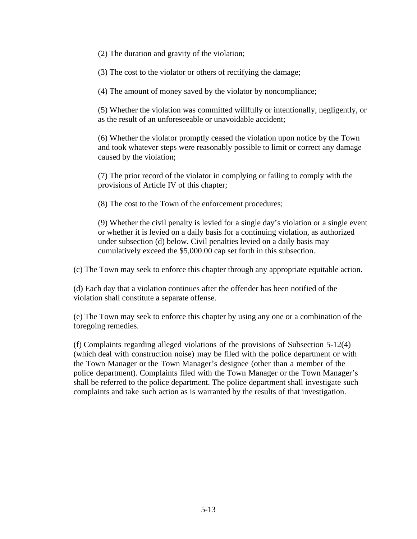(2) The duration and gravity of the violation;

(3) The cost to the violator or others of rectifying the damage;

(4) The amount of money saved by the violator by noncompliance;

(5) Whether the violation was committed willfully or intentionally, negligently, or as the result of an unforeseeable or unavoidable accident;

(6) Whether the violator promptly ceased the violation upon notice by the Town and took whatever steps were reasonably possible to limit or correct any damage caused by the violation;

(7) The prior record of the violator in complying or failing to comply with the provisions of Article IV of this chapter;

(8) The cost to the Town of the enforcement procedures;

(9) Whether the civil penalty is levied for a single day's violation or a single event or whether it is levied on a daily basis for a continuing violation, as authorized under subsection (d) below. Civil penalties levied on a daily basis may cumulatively exceed the \$5,000.00 cap set forth in this subsection.

(c) The Town may seek to enforce this chapter through any appropriate equitable action.

(d) Each day that a violation continues after the offender has been notified of the violation shall constitute a separate offense.

(e) The Town may seek to enforce this chapter by using any one or a combination of the foregoing remedies.

(f) Complaints regarding alleged violations of the provisions of Subsection 5-12(4) (which deal with construction noise) may be filed with the police department or with the Town Manager or the Town Manager's designee (other than a member of the police department). Complaints filed with the Town Manager or the Town Manager's shall be referred to the police department. The police department shall investigate such complaints and take such action as is warranted by the results of that investigation.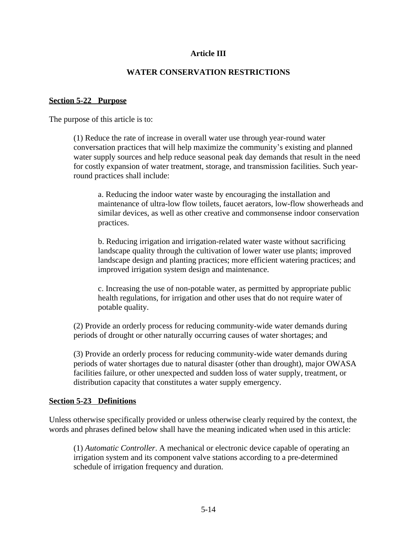### **Article III**

#### **WATER CONSERVATION RESTRICTIONS**

#### **Section 5-22 Purpose**

The purpose of this article is to:

(1) Reduce the rate of increase in overall water use through year-round water conversation practices that will help maximize the community's existing and planned water supply sources and help reduce seasonal peak day demands that result in the need for costly expansion of water treatment, storage, and transmission facilities. Such yearround practices shall include:

a. Reducing the indoor water waste by encouraging the installation and maintenance of ultra-low flow toilets, faucet aerators, low-flow showerheads and similar devices, as well as other creative and commonsense indoor conservation practices.

b. Reducing irrigation and irrigation-related water waste without sacrificing landscape quality through the cultivation of lower water use plants; improved landscape design and planting practices; more efficient watering practices; and improved irrigation system design and maintenance.

c. Increasing the use of non-potable water, as permitted by appropriate public health regulations, for irrigation and other uses that do not require water of potable quality.

(2) Provide an orderly process for reducing community-wide water demands during periods of drought or other naturally occurring causes of water shortages; and

(3) Provide an orderly process for reducing community-wide water demands during periods of water shortages due to natural disaster (other than drought), major OWASA facilities failure, or other unexpected and sudden loss of water supply, treatment, or distribution capacity that constitutes a water supply emergency.

#### **Section 5-23 Definitions**

Unless otherwise specifically provided or unless otherwise clearly required by the context, the words and phrases defined below shall have the meaning indicated when used in this article:

(1) *Automatic Controller*. A mechanical or electronic device capable of operating an irrigation system and its component valve stations according to a pre-determined schedule of irrigation frequency and duration.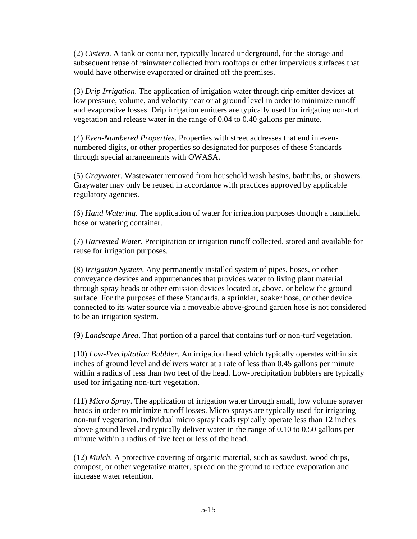(2) *Cistern*. A tank or container, typically located underground, for the storage and subsequent reuse of rainwater collected from rooftops or other impervious surfaces that would have otherwise evaporated or drained off the premises.

(3) *Drip Irrigation*. The application of irrigation water through drip emitter devices at low pressure, volume, and velocity near or at ground level in order to minimize runoff and evaporative losses. Drip irrigation emitters are typically used for irrigating non-turf vegetation and release water in the range of 0.04 to 0.40 gallons per minute.

(4) *Even-Numbered Properties*. Properties with street addresses that end in evennumbered digits, or other properties so designated for purposes of these Standards through special arrangements with OWASA.

(5) *Graywater*. Wastewater removed from household wash basins, bathtubs, or showers. Graywater may only be reused in accordance with practices approved by applicable regulatory agencies.

(6) *Hand Watering*. The application of water for irrigation purposes through a handheld hose or watering container.

(7) *Harvested Water*. Precipitation or irrigation runoff collected, stored and available for reuse for irrigation purposes.

(8) *Irrigation System*. Any permanently installed system of pipes, hoses, or other conveyance devices and appurtenances that provides water to living plant material through spray heads or other emission devices located at, above, or below the ground surface. For the purposes of these Standards, a sprinkler, soaker hose, or other device connected to its water source via a moveable above-ground garden hose is not considered to be an irrigation system.

(9) *Landscape Area*. That portion of a parcel that contains turf or non-turf vegetation.

(10) *Low-Precipitation Bubbler*. An irrigation head which typically operates within six inches of ground level and delivers water at a rate of less than 0.45 gallons per minute within a radius of less than two feet of the head. Low-precipitation bubblers are typically used for irrigating non-turf vegetation.

(11) *Micro Spray*. The application of irrigation water through small, low volume sprayer heads in order to minimize runoff losses. Micro sprays are typically used for irrigating non-turf vegetation. Individual micro spray heads typically operate less than 12 inches above ground level and typically deliver water in the range of 0.10 to 0.50 gallons per minute within a radius of five feet or less of the head.

(12) *Mulch*. A protective covering of organic material, such as sawdust, wood chips, compost, or other vegetative matter, spread on the ground to reduce evaporation and increase water retention.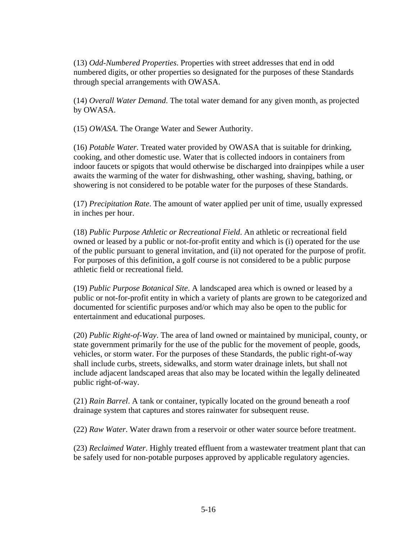(13) *Odd-Numbered Properties*. Properties with street addresses that end in odd numbered digits, or other properties so designated for the purposes of these Standards through special arrangements with OWASA.

(14) *Overall Water Demand*. The total water demand for any given month, as projected by OWASA.

(15) *OWASA*. The Orange Water and Sewer Authority.

(16) *Potable Water*. Treated water provided by OWASA that is suitable for drinking, cooking, and other domestic use. Water that is collected indoors in containers from indoor faucets or spigots that would otherwise be discharged into drainpipes while a user awaits the warming of the water for dishwashing, other washing, shaving, bathing, or showering is not considered to be potable water for the purposes of these Standards.

(17) *Precipitation Rate*. The amount of water applied per unit of time, usually expressed in inches per hour.

(18) *Public Purpose Athletic or Recreational Field*. An athletic or recreational field owned or leased by a public or not-for-profit entity and which is (i) operated for the use of the public pursuant to general invitation, and (ii) not operated for the purpose of profit. For purposes of this definition, a golf course is not considered to be a public purpose athletic field or recreational field.

(19) *Public Purpose Botanical Site*. A landscaped area which is owned or leased by a public or not-for-profit entity in which a variety of plants are grown to be categorized and documented for scientific purposes and/or which may also be open to the public for entertainment and educational purposes.

(20) *Public Right-of-Way*. The area of land owned or maintained by municipal, county, or state government primarily for the use of the public for the movement of people, goods, vehicles, or storm water. For the purposes of these Standards, the public right-of-way shall include curbs, streets, sidewalks, and storm water drainage inlets, but shall not include adjacent landscaped areas that also may be located within the legally delineated public right-of-way.

(21) *Rain Barrel*. A tank or container, typically located on the ground beneath a roof drainage system that captures and stores rainwater for subsequent reuse.

(22) *Raw Water*. Water drawn from a reservoir or other water source before treatment.

(23) *Reclaimed Water*. Highly treated effluent from a wastewater treatment plant that can be safely used for non-potable purposes approved by applicable regulatory agencies.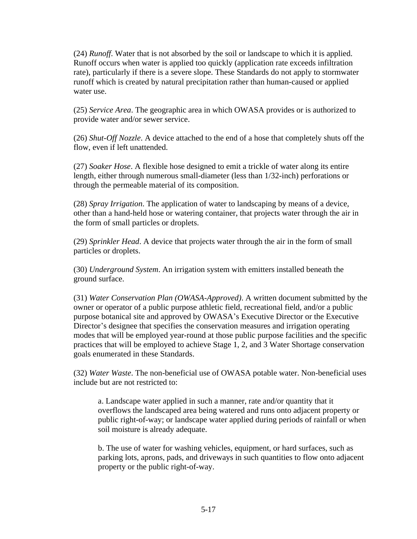(24) *Runoff*. Water that is not absorbed by the soil or landscape to which it is applied. Runoff occurs when water is applied too quickly (application rate exceeds infiltration rate), particularly if there is a severe slope. These Standards do not apply to stormwater runoff which is created by natural precipitation rather than human-caused or applied water use.

(25) *Service Area*. The geographic area in which OWASA provides or is authorized to provide water and/or sewer service.

(26) *Shut-Off Nozzle*. A device attached to the end of a hose that completely shuts off the flow, even if left unattended.

(27) *Soaker Hose*. A flexible hose designed to emit a trickle of water along its entire length, either through numerous small-diameter (less than 1/32-inch) perforations or through the permeable material of its composition.

(28) *Spray Irrigation*. The application of water to landscaping by means of a device, other than a hand-held hose or watering container, that projects water through the air in the form of small particles or droplets.

(29) *Sprinkler Head*. A device that projects water through the air in the form of small particles or droplets.

(30) *Underground System*. An irrigation system with emitters installed beneath the ground surface.

(31) *Water Conservation Plan (OWASA-Approved)*. A written document submitted by the owner or operator of a public purpose athletic field, recreational field, and/or a public purpose botanical site and approved by OWASA's Executive Director or the Executive Director's designee that specifies the conservation measures and irrigation operating modes that will be employed year-round at those public purpose facilities and the specific practices that will be employed to achieve Stage 1, 2, and 3 Water Shortage conservation goals enumerated in these Standards.

(32) *Water Waste*. The non-beneficial use of OWASA potable water. Non-beneficial uses include but are not restricted to:

a. Landscape water applied in such a manner, rate and/or quantity that it overflows the landscaped area being watered and runs onto adjacent property or public right-of-way; or landscape water applied during periods of rainfall or when soil moisture is already adequate.

b. The use of water for washing vehicles, equipment, or hard surfaces, such as parking lots, aprons, pads, and driveways in such quantities to flow onto adjacent property or the public right-of-way.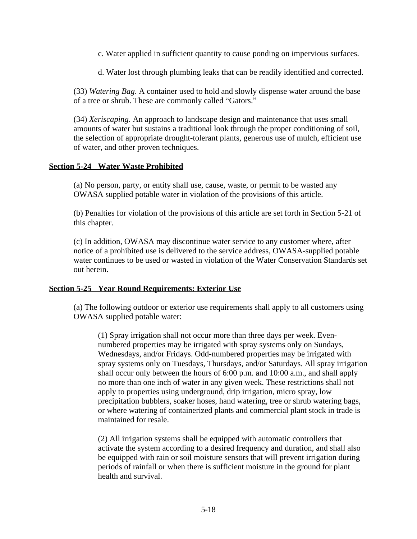- c. Water applied in sufficient quantity to cause ponding on impervious surfaces.
- d. Water lost through plumbing leaks that can be readily identified and corrected.

(33) *Watering Bag*. A container used to hold and slowly dispense water around the base of a tree or shrub. These are commonly called "Gators."

(34) *Xeriscaping*. An approach to landscape design and maintenance that uses small amounts of water but sustains a traditional look through the proper conditioning of soil, the selection of appropriate drought-tolerant plants, generous use of mulch, efficient use of water, and other proven techniques.

#### **Section 5-24 Water Waste Prohibited**

(a) No person, party, or entity shall use, cause, waste, or permit to be wasted any OWASA supplied potable water in violation of the provisions of this article.

(b) Penalties for violation of the provisions of this article are set forth in Section 5-21 of this chapter.

(c) In addition, OWASA may discontinue water service to any customer where, after notice of a prohibited use is delivered to the service address, OWASA-supplied potable water continues to be used or wasted in violation of the Water Conservation Standards set out herein.

#### **Section 5-25 Year Round Requirements: Exterior Use**

(a) The following outdoor or exterior use requirements shall apply to all customers using OWASA supplied potable water:

(1) Spray irrigation shall not occur more than three days per week. Evennumbered properties may be irrigated with spray systems only on Sundays, Wednesdays, and/or Fridays. Odd-numbered properties may be irrigated with spray systems only on Tuesdays, Thursdays, and/or Saturdays. All spray irrigation shall occur only between the hours of 6:00 p.m. and 10:00 a.m., and shall apply no more than one inch of water in any given week. These restrictions shall not apply to properties using underground, drip irrigation, micro spray, low precipitation bubblers, soaker hoses, hand watering, tree or shrub watering bags, or where watering of containerized plants and commercial plant stock in trade is maintained for resale.

(2) All irrigation systems shall be equipped with automatic controllers that activate the system according to a desired frequency and duration, and shall also be equipped with rain or soil moisture sensors that will prevent irrigation during periods of rainfall or when there is sufficient moisture in the ground for plant health and survival.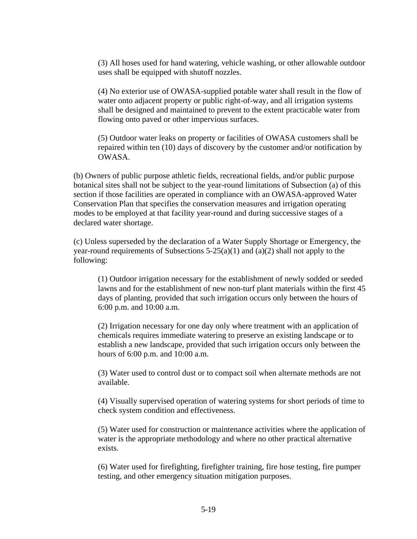(3) All hoses used for hand watering, vehicle washing, or other allowable outdoor uses shall be equipped with shutoff nozzles.

(4) No exterior use of OWASA-supplied potable water shall result in the flow of water onto adjacent property or public right-of-way, and all irrigation systems shall be designed and maintained to prevent to the extent practicable water from flowing onto paved or other impervious surfaces.

(5) Outdoor water leaks on property or facilities of OWASA customers shall be repaired within ten (10) days of discovery by the customer and/or notification by OWASA.

(b) Owners of public purpose athletic fields, recreational fields, and/or public purpose botanical sites shall not be subject to the year-round limitations of Subsection (a) of this section if those facilities are operated in compliance with an OWASA-approved Water Conservation Plan that specifies the conservation measures and irrigation operating modes to be employed at that facility year-round and during successive stages of a declared water shortage.

(c) Unless superseded by the declaration of a Water Supply Shortage or Emergency, the year-round requirements of Subsections  $5-25(a)(1)$  and  $(a)(2)$  shall not apply to the following:

(1) Outdoor irrigation necessary for the establishment of newly sodded or seeded lawns and for the establishment of new non-turf plant materials within the first 45 days of planting, provided that such irrigation occurs only between the hours of 6:00 p.m. and 10:00 a.m.

(2) Irrigation necessary for one day only where treatment with an application of chemicals requires immediate watering to preserve an existing landscape or to establish a new landscape, provided that such irrigation occurs only between the hours of 6:00 p.m. and 10:00 a.m.

(3) Water used to control dust or to compact soil when alternate methods are not available.

(4) Visually supervised operation of watering systems for short periods of time to check system condition and effectiveness.

(5) Water used for construction or maintenance activities where the application of water is the appropriate methodology and where no other practical alternative exists.

(6) Water used for firefighting, firefighter training, fire hose testing, fire pumper testing, and other emergency situation mitigation purposes.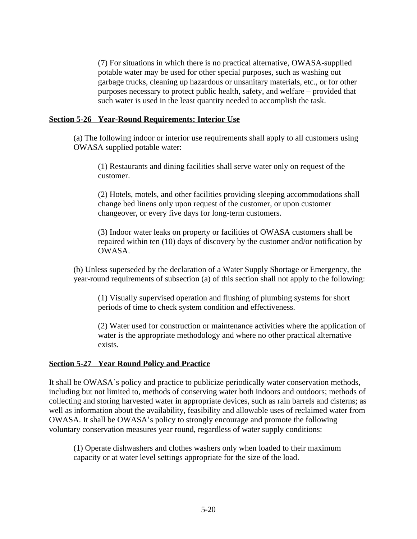(7) For situations in which there is no practical alternative, OWASA-supplied potable water may be used for other special purposes, such as washing out garbage trucks, cleaning up hazardous or unsanitary materials, etc., or for other purposes necessary to protect public health, safety, and welfare – provided that such water is used in the least quantity needed to accomplish the task.

#### **Section 5-26 Year-Round Requirements: Interior Use**

(a) The following indoor or interior use requirements shall apply to all customers using OWASA supplied potable water:

(1) Restaurants and dining facilities shall serve water only on request of the customer.

(2) Hotels, motels, and other facilities providing sleeping accommodations shall change bed linens only upon request of the customer, or upon customer changeover, or every five days for long-term customers.

(3) Indoor water leaks on property or facilities of OWASA customers shall be repaired within ten (10) days of discovery by the customer and/or notification by OWASA.

(b) Unless superseded by the declaration of a Water Supply Shortage or Emergency, the year-round requirements of subsection (a) of this section shall not apply to the following:

(1) Visually supervised operation and flushing of plumbing systems for short periods of time to check system condition and effectiveness.

(2) Water used for construction or maintenance activities where the application of water is the appropriate methodology and where no other practical alternative exists.

#### **Section 5-27 Year Round Policy and Practice**

It shall be OWASA's policy and practice to publicize periodically water conservation methods, including but not limited to, methods of conserving water both indoors and outdoors; methods of collecting and storing harvested water in appropriate devices, such as rain barrels and cisterns; as well as information about the availability, feasibility and allowable uses of reclaimed water from OWASA. It shall be OWASA's policy to strongly encourage and promote the following voluntary conservation measures year round, regardless of water supply conditions:

(1) Operate dishwashers and clothes washers only when loaded to their maximum capacity or at water level settings appropriate for the size of the load.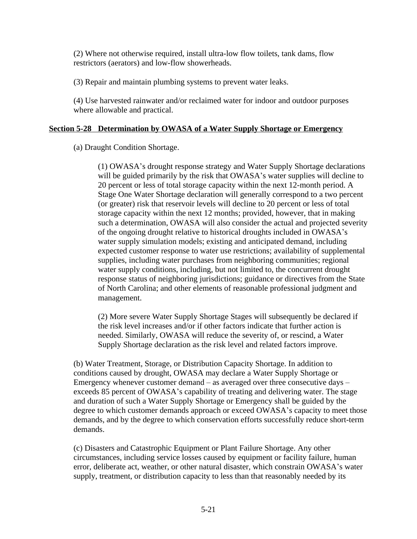(2) Where not otherwise required, install ultra-low flow toilets, tank dams, flow restrictors (aerators) and low-flow showerheads.

(3) Repair and maintain plumbing systems to prevent water leaks.

(4) Use harvested rainwater and/or reclaimed water for indoor and outdoor purposes where allowable and practical.

### **Section 5-28 Determination by OWASA of a Water Supply Shortage or Emergency**

(a) Draught Condition Shortage.

(1) OWASA's drought response strategy and Water Supply Shortage declarations will be guided primarily by the risk that OWASA's water supplies will decline to 20 percent or less of total storage capacity within the next 12-month period. A Stage One Water Shortage declaration will generally correspond to a two percent (or greater) risk that reservoir levels will decline to 20 percent or less of total storage capacity within the next 12 months; provided, however, that in making such a determination, OWASA will also consider the actual and projected severity of the ongoing drought relative to historical droughts included in OWASA's water supply simulation models; existing and anticipated demand, including expected customer response to water use restrictions; availability of supplemental supplies, including water purchases from neighboring communities; regional water supply conditions, including, but not limited to, the concurrent drought response status of neighboring jurisdictions; guidance or directives from the State of North Carolina; and other elements of reasonable professional judgment and management.

(2) More severe Water Supply Shortage Stages will subsequently be declared if the risk level increases and/or if other factors indicate that further action is needed. Similarly, OWASA will reduce the severity of, or rescind, a Water Supply Shortage declaration as the risk level and related factors improve.

(b) Water Treatment, Storage, or Distribution Capacity Shortage. In addition to conditions caused by drought, OWASA may declare a Water Supply Shortage or Emergency whenever customer demand – as averaged over three consecutive days – exceeds 85 percent of OWASA's capability of treating and delivering water. The stage and duration of such a Water Supply Shortage or Emergency shall be guided by the degree to which customer demands approach or exceed OWASA's capacity to meet those demands, and by the degree to which conservation efforts successfully reduce short-term demands.

(c) Disasters and Catastrophic Equipment or Plant Failure Shortage. Any other circumstances, including service losses caused by equipment or facility failure, human error, deliberate act, weather, or other natural disaster, which constrain OWASA's water supply, treatment, or distribution capacity to less than that reasonably needed by its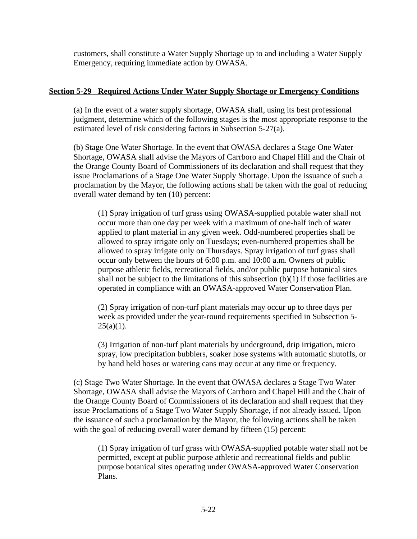customers, shall constitute a Water Supply Shortage up to and including a Water Supply Emergency, requiring immediate action by OWASA.

### **Section 5-29 Required Actions Under Water Supply Shortage or Emergency Conditions**

(a) In the event of a water supply shortage, OWASA shall, using its best professional judgment, determine which of the following stages is the most appropriate response to the estimated level of risk considering factors in Subsection 5-27(a).

(b) Stage One Water Shortage. In the event that OWASA declares a Stage One Water Shortage, OWASA shall advise the Mayors of Carrboro and Chapel Hill and the Chair of the Orange County Board of Commissioners of its declaration and shall request that they issue Proclamations of a Stage One Water Supply Shortage. Upon the issuance of such a proclamation by the Mayor, the following actions shall be taken with the goal of reducing overall water demand by ten (10) percent:

(1) Spray irrigation of turf grass using OWASA-supplied potable water shall not occur more than one day per week with a maximum of one-half inch of water applied to plant material in any given week. Odd-numbered properties shall be allowed to spray irrigate only on Tuesdays; even-numbered properties shall be allowed to spray irrigate only on Thursdays. Spray irrigation of turf grass shall occur only between the hours of 6:00 p.m. and 10:00 a.m. Owners of public purpose athletic fields, recreational fields, and/or public purpose botanical sites shall not be subject to the limitations of this subsection  $(b)(1)$  if those facilities are operated in compliance with an OWASA-approved Water Conservation Plan.

(2) Spray irrigation of non-turf plant materials may occur up to three days per week as provided under the year-round requirements specified in Subsection 5-  $25(a)(1)$ .

(3) Irrigation of non-turf plant materials by underground, drip irrigation, micro spray, low precipitation bubblers, soaker hose systems with automatic shutoffs, or by hand held hoses or watering cans may occur at any time or frequency.

(c) Stage Two Water Shortage. In the event that OWASA declares a Stage Two Water Shortage, OWASA shall advise the Mayors of Carrboro and Chapel Hill and the Chair of the Orange County Board of Commissioners of its declaration and shall request that they issue Proclamations of a Stage Two Water Supply Shortage, if not already issued. Upon the issuance of such a proclamation by the Mayor, the following actions shall be taken with the goal of reducing overall water demand by fifteen (15) percent:

(1) Spray irrigation of turf grass with OWASA-supplied potable water shall not be permitted, except at public purpose athletic and recreational fields and public purpose botanical sites operating under OWASA-approved Water Conservation Plans.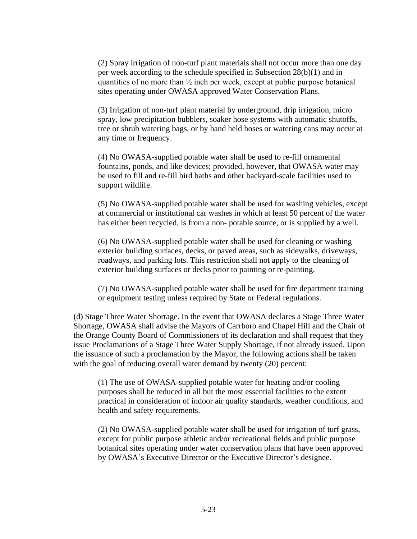(2) Spray irrigation of non-turf plant materials shall not occur more than one day per week according to the schedule specified in Subsection 28(b)(1) and in quantities of no more than  $\frac{1}{2}$  inch per week, except at public purpose botanical sites operating under OWASA approved Water Conservation Plans.

(3) Irrigation of non-turf plant material by underground, drip irrigation, micro spray, low precipitation bubblers, soaker hose systems with automatic shutoffs, tree or shrub watering bags, or by hand held hoses or watering cans may occur at any time or frequency.

(4) No OWASA-supplied potable water shall be used to re-fill ornamental fountains, ponds, and like devices; provided, however, that OWASA water may be used to fill and re-fill bird baths and other backyard-scale facilities used to support wildlife.

(5) No OWASA-supplied potable water shall be used for washing vehicles, except at commercial or institutional car washes in which at least 50 percent of the water has either been recycled, is from a non- potable source, or is supplied by a well.

(6) No OWASA-supplied potable water shall be used for cleaning or washing exterior building surfaces, decks, or paved areas, such as sidewalks, driveways, roadways, and parking lots. This restriction shall not apply to the cleaning of exterior building surfaces or decks prior to painting or re-painting.

(7) No OWASA-supplied potable water shall be used for fire department training or equipment testing unless required by State or Federal regulations.

(d) Stage Three Water Shortage. In the event that OWASA declares a Stage Three Water Shortage, OWASA shall advise the Mayors of Carrboro and Chapel Hill and the Chair of the Orange County Board of Commissioners of its declaration and shall request that they issue Proclamations of a Stage Three Water Supply Shortage, if not already issued. Upon the issuance of such a proclamation by the Mayor, the following actions shall be taken with the goal of reducing overall water demand by twenty (20) percent:

(1) The use of OWASA-supplied potable water for heating and/or cooling purposes shall be reduced in all but the most essential facilities to the extent practical in consideration of indoor air quality standards, weather conditions, and health and safety requirements.

(2) No OWASA-supplied potable water shall be used for irrigation of turf grass, except for public purpose athletic and/or recreational fields and public purpose botanical sites operating under water conservation plans that have been approved by OWASA's Executive Director or the Executive Director's designee.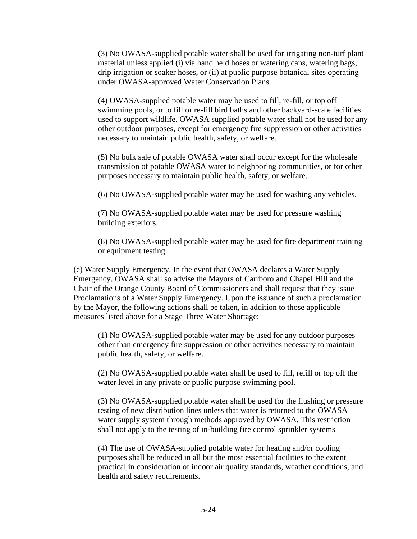(3) No OWASA-supplied potable water shall be used for irrigating non-turf plant material unless applied (i) via hand held hoses or watering cans, watering bags, drip irrigation or soaker hoses, or (ii) at public purpose botanical sites operating under OWASA-approved Water Conservation Plans.

(4) OWASA-supplied potable water may be used to fill, re-fill, or top off swimming pools, or to fill or re-fill bird baths and other backyard-scale facilities used to support wildlife. OWASA supplied potable water shall not be used for any other outdoor purposes, except for emergency fire suppression or other activities necessary to maintain public health, safety, or welfare.

(5) No bulk sale of potable OWASA water shall occur except for the wholesale transmission of potable OWASA water to neighboring communities, or for other purposes necessary to maintain public health, safety, or welfare.

(6) No OWASA-supplied potable water may be used for washing any vehicles.

(7) No OWASA-supplied potable water may be used for pressure washing building exteriors.

(8) No OWASA-supplied potable water may be used for fire department training or equipment testing.

(e) Water Supply Emergency. In the event that OWASA declares a Water Supply Emergency, OWASA shall so advise the Mayors of Carrboro and Chapel Hill and the Chair of the Orange County Board of Commissioners and shall request that they issue Proclamations of a Water Supply Emergency. Upon the issuance of such a proclamation by the Mayor, the following actions shall be taken, in addition to those applicable measures listed above for a Stage Three Water Shortage:

(1) No OWASA-supplied potable water may be used for any outdoor purposes other than emergency fire suppression or other activities necessary to maintain public health, safety, or welfare.

(2) No OWASA-supplied potable water shall be used to fill, refill or top off the water level in any private or public purpose swimming pool.

(3) No OWASA-supplied potable water shall be used for the flushing or pressure testing of new distribution lines unless that water is returned to the OWASA water supply system through methods approved by OWASA. This restriction shall not apply to the testing of in-building fire control sprinkler systems

(4) The use of OWASA-supplied potable water for heating and/or cooling purposes shall be reduced in all but the most essential facilities to the extent practical in consideration of indoor air quality standards, weather conditions, and health and safety requirements.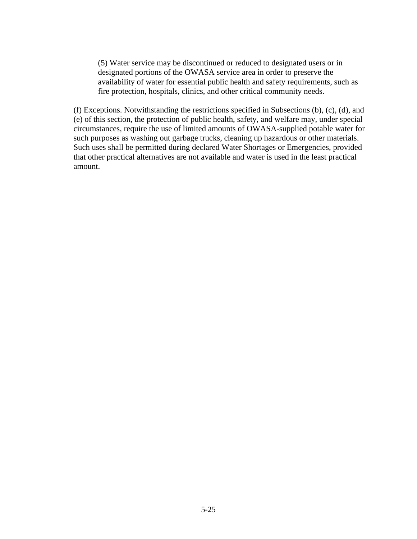(5) Water service may be discontinued or reduced to designated users or in designated portions of the OWASA service area in order to preserve the availability of water for essential public health and safety requirements, such as fire protection, hospitals, clinics, and other critical community needs.

(f) Exceptions. Notwithstanding the restrictions specified in Subsections (b), (c), (d), and (e) of this section, the protection of public health, safety, and welfare may, under special circumstances, require the use of limited amounts of OWASA-supplied potable water for such purposes as washing out garbage trucks, cleaning up hazardous or other materials. Such uses shall be permitted during declared Water Shortages or Emergencies, provided that other practical alternatives are not available and water is used in the least practical amount.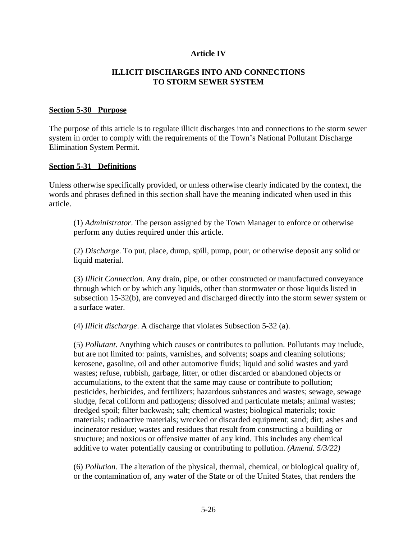### **Article IV**

#### **ILLICIT DISCHARGES INTO AND CONNECTIONS TO STORM SEWER SYSTEM**

#### **Section 5-30 Purpose**

The purpose of this article is to regulate illicit discharges into and connections to the storm sewer system in order to comply with the requirements of the Town's National Pollutant Discharge Elimination System Permit.

#### **Section 5-31 Definitions**

Unless otherwise specifically provided, or unless otherwise clearly indicated by the context, the words and phrases defined in this section shall have the meaning indicated when used in this article.

(1) *Administrator*. The person assigned by the Town Manager to enforce or otherwise perform any duties required under this article.

(2) *Discharge*. To put, place, dump, spill, pump, pour, or otherwise deposit any solid or liquid material.

(3) *Illicit Connection*. Any drain, pipe, or other constructed or manufactured conveyance through which or by which any liquids, other than stormwater or those liquids listed in subsection 15-32(b), are conveyed and discharged directly into the storm sewer system or a surface water.

(4) *Illicit discharge*. A discharge that violates Subsection 5-32 (a).

(5) *Pollutant*. Anything which causes or contributes to pollution. Pollutants may include, but are not limited to: paints, varnishes, and solvents; soaps and cleaning solutions; kerosene, gasoline, oil and other automotive fluids; liquid and solid wastes and yard wastes; refuse, rubbish, garbage, litter, or other discarded or abandoned objects or accumulations, to the extent that the same may cause or contribute to pollution; pesticides, herbicides, and fertilizers; hazardous substances and wastes; sewage, sewage sludge, fecal coliform and pathogens; dissolved and particulate metals; animal wastes; dredged spoil; filter backwash; salt; chemical wastes; biological materials; toxic materials; radioactive materials; wrecked or discarded equipment; sand; dirt; ashes and incinerator residue; wastes and residues that result from constructing a building or structure; and noxious or offensive matter of any kind. This includes any chemical additive to water potentially causing or contributing to pollution. *(Amend. 5/3/22)*

(6) *Pollution*. The alteration of the physical, thermal, chemical, or biological quality of, or the contamination of, any water of the State or of the United States, that renders the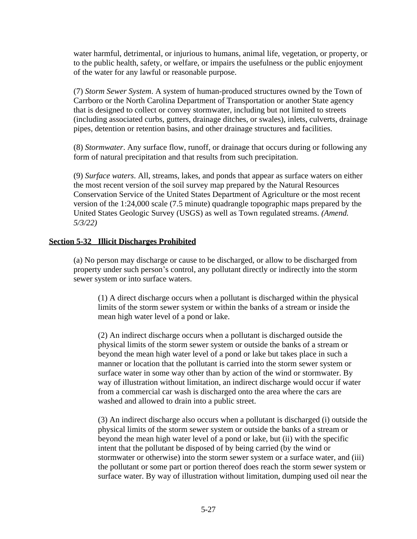water harmful, detrimental, or injurious to humans, animal life, vegetation, or property, or to the public health, safety, or welfare, or impairs the usefulness or the public enjoyment of the water for any lawful or reasonable purpose.

(7) *Storm Sewer System*. A system of human-produced structures owned by the Town of Carrboro or the North Carolina Department of Transportation or another State agency that is designed to collect or convey stormwater, including but not limited to streets (including associated curbs, gutters, drainage ditches, or swales), inlets, culverts, drainage pipes, detention or retention basins, and other drainage structures and facilities.

(8) *Stormwater*. Any surface flow, runoff, or drainage that occurs during or following any form of natural precipitation and that results from such precipitation.

(9) *Surface waters*. All, streams, lakes, and ponds that appear as surface waters on either the most recent version of the soil survey map prepared by the Natural Resources Conservation Service of the United States Department of Agriculture or the most recent version of the 1:24,000 scale (7.5 minute) quadrangle topographic maps prepared by the United States Geologic Survey (USGS) as well as Town regulated streams. *(Amend. 5/3/22)*

### **Section 5-32 Illicit Discharges Prohibited**

(a) No person may discharge or cause to be discharged, or allow to be discharged from property under such person's control, any pollutant directly or indirectly into the storm sewer system or into surface waters.

(1) A direct discharge occurs when a pollutant is discharged within the physical limits of the storm sewer system or within the banks of a stream or inside the mean high water level of a pond or lake.

(2) An indirect discharge occurs when a pollutant is discharged outside the physical limits of the storm sewer system or outside the banks of a stream or beyond the mean high water level of a pond or lake but takes place in such a manner or location that the pollutant is carried into the storm sewer system or surface water in some way other than by action of the wind or stormwater. By way of illustration without limitation, an indirect discharge would occur if water from a commercial car wash is discharged onto the area where the cars are washed and allowed to drain into a public street.

(3) An indirect discharge also occurs when a pollutant is discharged (i) outside the physical limits of the storm sewer system or outside the banks of a stream or beyond the mean high water level of a pond or lake, but (ii) with the specific intent that the pollutant be disposed of by being carried (by the wind or stormwater or otherwise) into the storm sewer system or a surface water, and (iii) the pollutant or some part or portion thereof does reach the storm sewer system or surface water. By way of illustration without limitation, dumping used oil near the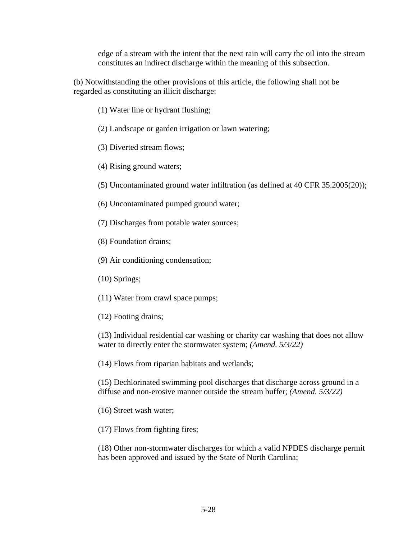edge of a stream with the intent that the next rain will carry the oil into the stream constitutes an indirect discharge within the meaning of this subsection.

(b) Notwithstanding the other provisions of this article, the following shall not be regarded as constituting an illicit discharge:

- (1) Water line or hydrant flushing;
- (2) Landscape or garden irrigation or lawn watering;
- (3) Diverted stream flows;
- (4) Rising ground waters;
- (5) Uncontaminated ground water infiltration (as defined at 40 CFR 35.2005(20));
- (6) Uncontaminated pumped ground water;
- (7) Discharges from potable water sources;
- (8) Foundation drains;
- (9) Air conditioning condensation;
- (10) Springs;
- (11) Water from crawl space pumps;
- (12) Footing drains;

(13) Individual residential car washing or charity car washing that does not allow water to directly enter the stormwater system; *(Amend. 5/3/22)*

(14) Flows from riparian habitats and wetlands;

(15) Dechlorinated swimming pool discharges that discharge across ground in a diffuse and non-erosive manner outside the stream buffer; *(Amend. 5/3/22)*

(16) Street wash water;

(17) Flows from fighting fires;

(18) Other non-stormwater discharges for which a valid NPDES discharge permit has been approved and issued by the State of North Carolina;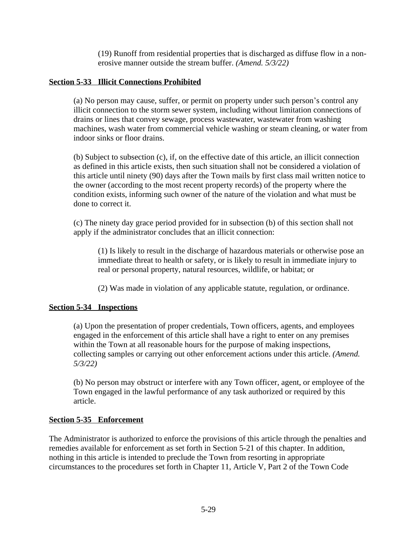(19) Runoff from residential properties that is discharged as diffuse flow in a nonerosive manner outside the stream buffer. *(Amend. 5/3/22)*

### **Section 5-33 Illicit Connections Prohibited**

(a) No person may cause, suffer, or permit on property under such person's control any illicit connection to the storm sewer system, including without limitation connections of drains or lines that convey sewage, process wastewater, wastewater from washing machines, wash water from commercial vehicle washing or steam cleaning, or water from indoor sinks or floor drains.

(b) Subject to subsection (c), if, on the effective date of this article, an illicit connection as defined in this article exists, then such situation shall not be considered a violation of this article until ninety (90) days after the Town mails by first class mail written notice to the owner (according to the most recent property records) of the property where the condition exists, informing such owner of the nature of the violation and what must be done to correct it.

(c) The ninety day grace period provided for in subsection (b) of this section shall not apply if the administrator concludes that an illicit connection:

(1) Is likely to result in the discharge of hazardous materials or otherwise pose an immediate threat to health or safety, or is likely to result in immediate injury to real or personal property, natural resources, wildlife, or habitat; or

(2) Was made in violation of any applicable statute, regulation, or ordinance.

## **Section 5-34 Inspections**

(a) Upon the presentation of proper credentials, Town officers, agents, and employees engaged in the enforcement of this article shall have a right to enter on any premises within the Town at all reasonable hours for the purpose of making inspections, collecting samples or carrying out other enforcement actions under this article. *(Amend. 5/3/22)*

(b) No person may obstruct or interfere with any Town officer, agent, or employee of the Town engaged in the lawful performance of any task authorized or required by this article.

## **Section 5-35 Enforcement**

The Administrator is authorized to enforce the provisions of this article through the penalties and remedies available for enforcement as set forth in Section 5-21 of this chapter. In addition, nothing in this article is intended to preclude the Town from resorting in appropriate circumstances to the procedures set forth in Chapter 11, Article V, Part 2 of the Town Code